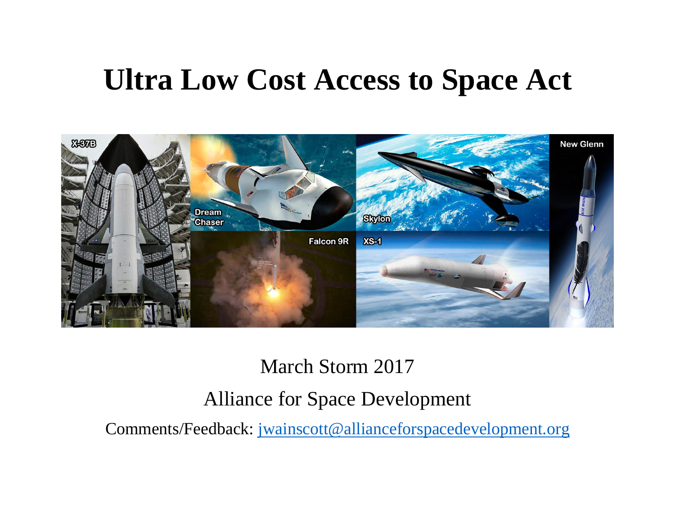# **Ultra Low Cost Access to Space Act**



## March Storm 2017 Alliance for Space Development

Comments/Feedback: [jwainscott@allianceforspacedevelopment.org](mailto:jwainscott@allianceforspacedevelopment.org)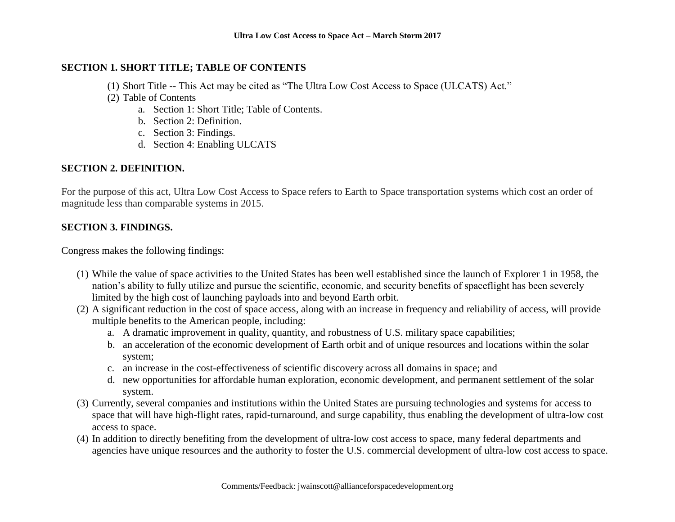#### **SECTION 1. SHORT TITLE; TABLE OF CONTENTS**

- (1) Short Title -- This Act may be cited as "The Ultra Low Cost Access to Space (ULCATS) Act."
- (2) Table of Contents
	- a. Section 1: Short Title; Table of Contents.
	- b. Section 2: Definition.
	- c. Section 3: Findings.
	- d. Section 4: Enabling ULCATS

#### **SECTION 2. DEFINITION.**

For the purpose of this act, Ultra Low Cost Access to Space refers to Earth to Space transportation systems which cost an order of magnitude less than comparable systems in 2015.

#### **SECTION 3. FINDINGS.**

Congress makes the following findings:

- (1) While the value of space activities to the United States has been well established since the launch of Explorer 1 in 1958, the nation's ability to fully utilize and pursue the scientific, economic, and security benefits of spaceflight has been severely limited by the high cost of launching payloads into and beyond Earth orbit.
- (2) A significant reduction in the cost of space access, along with an increase in frequency and reliability of access, will provide multiple benefits to the American people, including:
	- a. A dramatic improvement in quality, quantity, and robustness of U.S. military space capabilities;
	- b. an acceleration of the economic development of Earth orbit and of unique resources and locations within the solar system;
	- c. an increase in the cost-effectiveness of scientific discovery across all domains in space; and
	- d. new opportunities for affordable human exploration, economic development, and permanent settlement of the solar system.
- (3) Currently, several companies and institutions within the United States are pursuing technologies and systems for access to space that will have high-flight rates, rapid-turnaround, and surge capability, thus enabling the development of ultra-low cost access to space.
- (4) In addition to directly benefiting from the development of ultra-low cost access to space, many federal departments and agencies have unique resources and the authority to foster the U.S. commercial development of ultra-low cost access to space.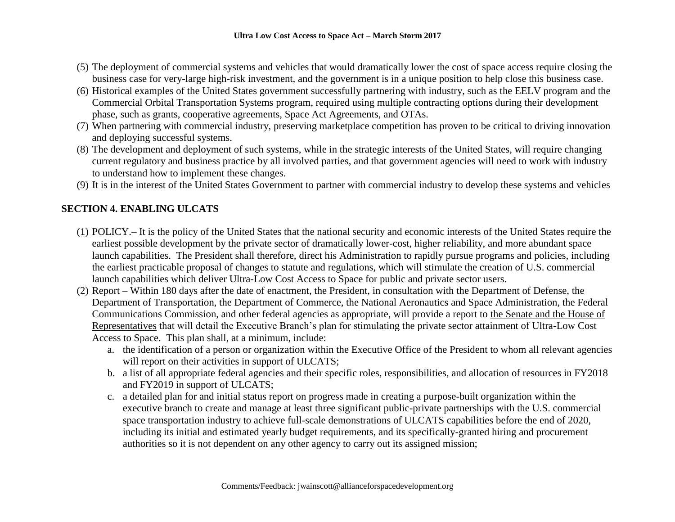- (5) The deployment of commercial systems and vehicles that would dramatically lower the cost of space access require closing the business case for very-large high-risk investment, and the government is in a unique position to help close this business case.
- (6) Historical examples of the United States government successfully partnering with industry, such as the EELV program and the Commercial Orbital Transportation Systems program, required using multiple contracting options during their development phase, such as grants, cooperative agreements, Space Act Agreements, and OTAs.
- (7) When partnering with commercial industry, preserving marketplace competition has proven to be critical to driving innovation and deploying successful systems.
- (8) The development and deployment of such systems, while in the strategic interests of the United States, will require changing current regulatory and business practice by all involved parties, and that government agencies will need to work with industry to understand how to implement these changes.
- (9) It is in the interest of the United States Government to partner with commercial industry to develop these systems and vehicles

### **SECTION 4. ENABLING ULCATS**

- (1) POLICY.– It is the policy of the United States that the national security and economic interests of the United States require the earliest possible development by the private sector of dramatically lower-cost, higher reliability, and more abundant space launch capabilities. The President shall therefore, direct his Administration to rapidly pursue programs and policies, including the earliest practicable proposal of changes to statute and regulations, which will stimulate the creation of U.S. commercial launch capabilities which deliver Ultra-Low Cost Access to Space for public and private sector users.
- (2) Report Within 180 days after the date of enactment, the President, in consultation with the Department of Defense, the Department of Transportation, the Department of Commerce, the National Aeronautics and Space Administration, the Federal Communications Commission, and other federal agencies as appropriate, will provide a report to the Senate and the House of Representatives that will detail the Executive Branch's plan for stimulating the private sector attainment of Ultra-Low Cost Access to Space. This plan shall, at a minimum, include:
	- a. the identification of a person or organization within the Executive Office of the President to whom all relevant agencies will report on their activities in support of ULCATS;
	- b. a list of all appropriate federal agencies and their specific roles, responsibilities, and allocation of resources in FY2018 and FY2019 in support of ULCATS;
	- c. a detailed plan for and initial status report on progress made in creating a purpose-built organization within the executive branch to create and manage at least three significant public-private partnerships with the U.S. commercial space transportation industry to achieve full-scale demonstrations of ULCATS capabilities before the end of 2020, including its initial and estimated yearly budget requirements, and its specifically-granted hiring and procurement authorities so it is not dependent on any other agency to carry out its assigned mission;